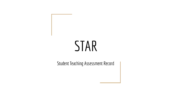# STAR

Student Teaching Assessment Record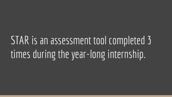## STAR is an assessment tool completed 3 times during the year-long internship.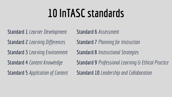## **10 InTASC standards**

**Standard 1** *Learner Development*

**Standard 2** *Learning Differences*

**Standard 3** *Learning Environment*

**Standard 4** *Content Knowledge*

**Standard 5** *Application of Content*

**Standard 6** *Assessment*

**Standard 7** *Planning for Instruction*

**Standard 8** *Instructional Strategies*

**Standard 9** *Professional Learning & Ethical Practice*

**Standard 10** *Leadership and Collaboration*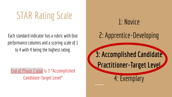# STAR Rating Scale 1: Novice

Each standard indicator has a rubric with four performance columns and a scoring scale of 1 to 4 with 4 being the highest rating.

**End of Phase 2 goal is 3 "Accomplished Candidate-Target Level"**

# 2: Apprentice-Developing **3: Accomplished Candidate Practitioner-Target Level** 4: Exemplary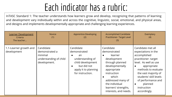### Each indicator has a rubric:

InTASC Standard 1: The teacher understands how learners grow and develop, recognizing that patterns of learning and development vary individually within and across the cognitive, linguistic, social, emotional, and physical areas, and designs and implements developmentally appropriate and challenging learning experiences.

| <b>Learner Development</b><br>Criteria<br>The teacher | <b>Novice</b><br>(1)                                                             | Apprentice-Developing<br>(2)                                                                                                        | <b>Accomplished Candidate</b><br><b>Practitioner- Target Level</b><br>(3)                                                                                                                                                             | Exemplary<br>(4)                                                                                                                                                                                                                                                                           |
|-------------------------------------------------------|----------------------------------------------------------------------------------|-------------------------------------------------------------------------------------------------------------------------------------|---------------------------------------------------------------------------------------------------------------------------------------------------------------------------------------------------------------------------------------|--------------------------------------------------------------------------------------------------------------------------------------------------------------------------------------------------------------------------------------------------------------------------------------------|
| 1.1-Learner growth and<br>development                 | Candidate<br>demonstrated a<br>minimal<br>understanding of child<br>development. | Candidate<br>demonstrated<br>an<br>understanding of<br>child development<br>but did not<br>apply it to planning<br>for instruction. | Candidate<br>demonstrated<br>learner<br>$\bullet$<br>development<br>through planned<br>developmentally<br>appropriate<br>instruction<br>which<br>addressed many of<br>the individual<br>learners' strengths,<br>interests, and needs. | Candidate met all<br>expectations in the<br>accomplished<br>practitioner-target<br>level. As well as use<br>appropriate<br>$\bullet$<br>methods to evaluate<br>the vast majority of<br>students' skill levels<br>of performance and<br>planned<br>$\bullet$<br>instruction<br>accordingly. |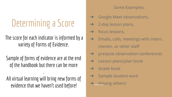## Determining a Score

#### The score for each indicator is informed by a variety of Forms of Evidence.

Sample of forms of evidence are at the end of the handbook but there can be more

.

All virtual learning will bring new forms of evidence that we haven't used before!

#### Some Examples:

- **→** Google Meet observations,
- $\rightarrow$  2-day lesson plans,
- $\rightarrow$  focus lessons,
- $\rightarrow$  Emails, calls, meetings with intern, mentor, or other staff
- $\rightarrow$  pre/post observation conferences
- $\rightarrow$  Lesson plans/plan book
- $\rightarrow$  Grade book
- $\rightarrow$  Sample student work
- **Among others!**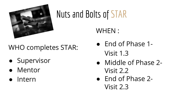

## Nuts and Bolts of STAR

## WHO completes STAR:

- Supervisor
- Mentor
- Intern

#### WHEN :

- End of Phase 1- Visit 1.3
- Middle of Phase 2- Visit 2.2
- End of Phase 2- Visit 2.3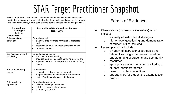## STAR Target Practitioner Snapshot

InTASC Standard 8: The teacher understands and uses a variety of instructional strategies to encourage learners to develop deep understanding of content areas and their connections, and to build skills to apply knowledge in meaningful ways.

| Instructional<br><b>Strategies</b><br>Criteria<br>The teacher | <b>Accomplished Candidate Practitioner-</b><br><b>Target Level</b><br>(3)                                                                                                    |
|---------------------------------------------------------------|------------------------------------------------------------------------------------------------------------------------------------------------------------------------------|
| 8.1-Instructional<br>strategies                               | Candidate used<br>a variety of appropriate instructional strategies<br>and<br>resources to meet the needs of individuals and<br>groups of learners.                          |
| 8.2-Assessment and<br>monitoring                              | Candidate continuously<br>monitored student learning,<br>engaged learners in assessing their progress, and<br>adjusted instruction in response to student learning<br>needs. |
| 8.3-Understanding<br>content                                  | Candidate built<br>connections between content areas to<br>support cognitive development of learners and<br>depth of understanding of content areas.                         |
| 8.4-Knowledge<br>application                                  | Candidate implemented<br>relevant learning experiences,<br>building on learner strengths and<br>community contexts.                                                          |

#### Forms of Evidence

- Observations (by peers or evaluators) which include:
	- o a variety of instructional strategies
	- o higher level questioning and demonstration of student critical thinking
- Lesson plans that include:
	- o a variety of instructional strategies and relevant learning experiences based on understanding of students and community
	- o resources
	- o appropriate assessments for monitoring of student learning/progress
	- o cross-curricular connections
	- o opportunities for students to extend lesson product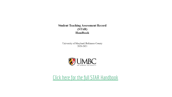**Student Teaching Assessment Record**  $(STAR)$ Handbook

University of Maryland, Baltimore County 2020-2021



[Click here for the full STAR Handbook](https://drive.google.com/file/d/1CBOAXitnX7XGfoWlZn-VryWNyIyr3vSx/view?usp=sharing)